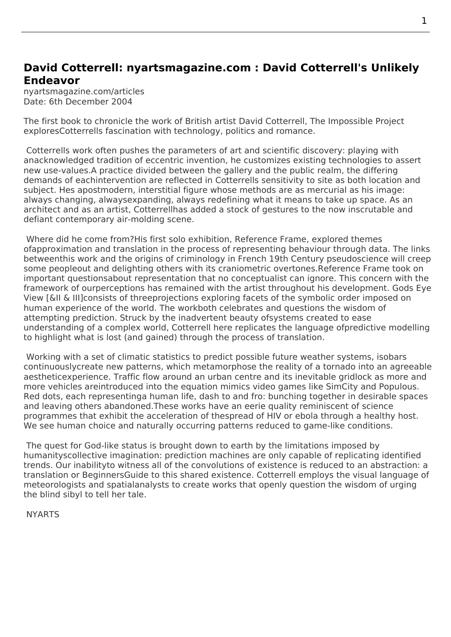## **David Cotterrell: nyartsmagazine.com : David Cotterrell's Unlikely Endeavor**

nyartsmagazine.com/articles Date: 6th December 2004

The first book to chronicle the work of British artist David Cotterrell, The Impossible Project exploresCotterrells fascination with technology, politics and romance.

Cotterrells work often pushes the parameters of art and scientific discovery: playing with anacknowledged tradition of eccentric invention, he customizes exi[sting technologies to as](http://www.cotterrell.com/bibliography/1011/the-impossible-project/)sert new use-values.A practice divided between the gallery and the public realm, the differing demands of eachintervention are reflected in Cotterrells sensitivity to site as both location and subject. Hes apostmodern, interstitial figure whose methods are as mercurial as his image: always changing, alwaysexpanding, always redefining what it means to take up space. As an architect and as an artist, Cotterrellhas added a stock of gestures to the now inscrutable and defiant contemporary air-molding scene.

 Where did he come from?His first solo exhibition, Reference Frame, explored themes ofapproximation and translation in the process of representing behaviour through data. The links betweenthis work and the origins of criminology in French 19th Century pseudoscience will creep some peopleout and delighting others with its craniometric overtones.Reference Frame took on important questionsabout representation that no [conceptualist can](http://www.cotterrell.com/exhibitions/3046/reference-frame/) ignore. This concern with the framework of ourperceptions has remained with the artist throughout his development. Gods Eye View [&II & III]consists of threeprojections exploring facets of the symbolic order imposed on human experience of the world. The workboth celebrates and questions the wisdom of attempting prediction. Struck by the inadvertent beauty ofsystems created to ease understanding of a complex world, Cotterrell here replicates the language ofpredictive [modelling](http://www.cotterrell.com/projects/22/gev-i-pedestrian-simulator-v/) [to hig](http://www.cotterrell.com/projects/22/gev-i-pedestrian-simulator-v/)hl[ig](http://www.cotterrell.com/projects/4122/gev-ii-grid-lock-generator-v/)ht [w](http://www.cotterrell.com/projects/4123/gev-iii-weather-system-v/)hat is lost (and gained) through the process of translation.

 Working with a set of climatic statistics to predict possible future weather systems, isobars continuouslycreate new patterns, which metamorphose the reality of a tornado into an agreeable aestheticexperience. Traffic flow around an urban centre and its inevitable gridlock as more and more vehicles areintroduced into the equation mimics video games like SimCity and Populous. Red dots, each representinga human life, dash to and fro: bunching together in desirable spaces and leaving others abandoned.These works have an eerie quality reminiscent of science programmes that exhibit the acceleration of thespread of HIV or ebola through a healthy host. We see human choice and naturally occurring patterns reduced to game-like conditions.

 The quest for God-like status is brought down to earth by the limitations imposed by humanityscollective imagination: prediction machines are only capable of replicating identified trends. Our inabilityto witness all of the convolutions of existence is reduced to an abstraction: a translation or BeginnersGuide to this shared existence. Cotterrell employs the visual language of meteorologists and spatialanalysts to create works that openly question the wisdom of urging the blind sibyl to tell her tale.

**NYARTS**